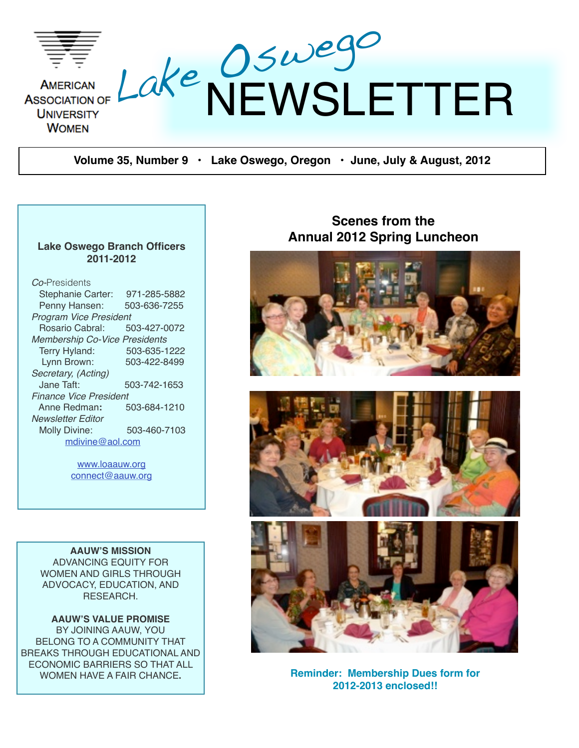

**Volume 35, Number 9 • Lake Oswego, Oregon • June, July & August, 2012**

#### **Lake Oswego Branch Officers 2011-2012**

| <i>Co-</i> Presidents                |              |
|--------------------------------------|--------------|
| Stephanie Carter:                    | 971-285-5882 |
| Penny Hansen:                        | 503-636-7255 |
| <b>Program Vice President</b>        |              |
| Rosario Cabral:                      | 503-427-0072 |
| <b>Membership Co-Vice Presidents</b> |              |
| Terry Hyland:                        | 503-635-1222 |
| Lynn Brown:                          | 503-422-8499 |
| Secretary, (Acting)                  |              |
| Jane Taft:                           | 503-742-1653 |
| <b>Finance Vice President</b>        |              |
| Anne Redman:                         | 503-684-1210 |
| Newsletter Editor                    |              |
| Molly Divine:                        | 503-460-7103 |
| mdivine@aol.com                      |              |
|                                      |              |

[www.loaauw.org](http://www.loaauw.org) [connect@aauw.org](mailto:connect@aauw.org)

**AAUW'S MISSION** ADVANCING EQUITY FOR WOMEN AND GIRLS THROUGH ADVOCACY, EDUCATION, AND RESEARCH.

**AAUW'S VALUE PROMISE** BY JOINING AAUW, YOU BELONG TO A COMMUNITY THAT BREAKS THROUGH EDUCATIONAL AND ECONOMIC BARRIERS SO THAT ALL

#### **Scenes from the Annual 2012 Spring Luncheon**







WOMEN HAVE A FAIR CHANCE. **Reminder: Membership Dues form for 2012-2013 enclosed!!**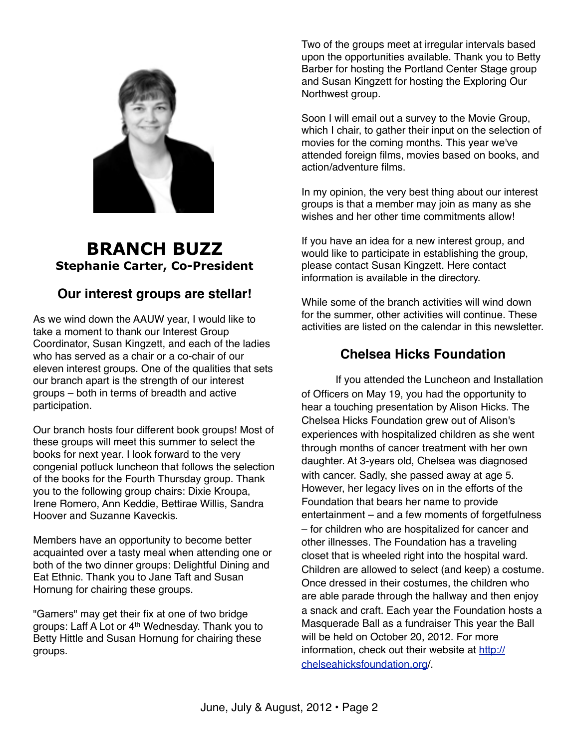

### **BRANCH BUZZ Stephanie Carter, Co-President**

#### **Our interest groups are stellar!**

As we wind down the AAUW year, I would like to take a moment to thank our Interest Group Coordinator, Susan Kingzett, and each of the ladies who has served as a chair or a co-chair of our eleven interest groups. One of the qualities that sets our branch apart is the strength of our interest groups – both in terms of breadth and active participation.

Our branch hosts four different book groups! Most of these groups will meet this summer to select the books for next year. I look forward to the very congenial potluck luncheon that follows the selection of the books for the Fourth Thursday group. Thank you to the following group chairs: Dixie Kroupa, Irene Romero, Ann Keddie, Bettirae Willis, Sandra Hoover and Suzanne Kaveckis.

Members have an opportunity to become better acquainted over a tasty meal when attending one or both of the two dinner groups: Delightful Dining and Eat Ethnic. Thank you to Jane Taft and Susan Hornung for chairing these groups.

"Gamers" may get their fix at one of two bridge groups: Laff A Lot or 4th Wednesday. Thank you to Betty Hittle and Susan Hornung for chairing these groups.

Two of the groups meet at irregular intervals based upon the opportunities available. Thank you to Betty Barber for hosting the Portland Center Stage group and Susan Kingzett for hosting the Exploring Our Northwest group.

Soon I will email out a survey to the Movie Group, which I chair, to gather their input on the selection of movies for the coming months. This year we've attended foreign films, movies based on books, and action/adventure films.

In my opinion, the very best thing about our interest groups is that a member may join as many as she wishes and her other time commitments allow!

If you have an idea for a new interest group, and would like to participate in establishing the group, please contact Susan Kingzett. Here contact information is available in the directory.

While some of the branch activities will wind down for the summer, other activities will continue. These activities are listed on the calendar in this newsletter.

### **Chelsea Hicks Foundation**

If you attended the Luncheon and Installation of Officers on May 19, you had the opportunity to hear a touching presentation by Alison Hicks. The Chelsea Hicks Foundation grew out of Alison's experiences with hospitalized children as she went through months of cancer treatment with her own daughter. At 3-years old, Chelsea was diagnosed with cancer. Sadly, she passed away at age 5. However, her legacy lives on in the efforts of the Foundation that bears her name to provide entertainment – and a few moments of forgetfulness – for children who are hospitalized for cancer and other illnesses. The Foundation has a traveling closet that is wheeled right into the hospital ward. Children are allowed to select (and keep) a costume. Once dressed in their costumes, the children who are able parade through the hallway and then enjoy a snack and craft. Each year the Foundation hosts a Masquerade Ball as a fundraiser This year the Ball will be held on October 20, 2012. For more information, check out their website at [http://](http://chelseahicksfoundation.org) [chelseahicksfoundation.org/](http://chelseahicksfoundation.org).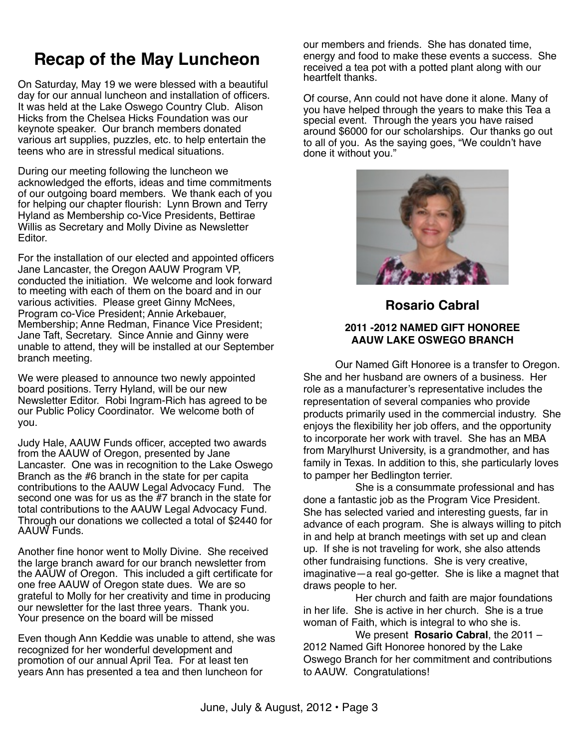# **Recap of the May Luncheon**

On Saturday, May 19 we were blessed with a beautiful day for our annual luncheon and installation of officers. It was held at the Lake Oswego Country Club. Alison Hicks from the Chelsea Hicks Foundation was our keynote speaker. Our branch members donated various art supplies, puzzles, etc. to help entertain the teens who are in stressful medical situations.

During our meeting following the luncheon we acknowledged the efforts, ideas and time commitments of our outgoing board members. We thank each of you for helping our chapter flourish: Lynn Brown and Terry Hyland as Membership co-Vice Presidents, Bettirae Willis as Secretary and Molly Divine as Newsletter Editor.

For the installation of our elected and appointed officers Jane Lancaster, the Oregon AAUW Program VP, conducted the initiation. We welcome and look forward to meeting with each of them on the board and in our various activities. Please greet Ginny McNees, Program co-Vice President; Annie Arkebauer, Membership; Anne Redman, Finance Vice President; Jane Taft, Secretary. Since Annie and Ginny were unable to attend, they will be installed at our September branch meeting.

We were pleased to announce two newly appointed board positions. Terry Hyland, will be our new Newsletter Editor. Robi Ingram-Rich has agreed to be our Public Policy Coordinator. We welcome both of you.

Judy Hale, AAUW Funds officer, accepted two awards from the AAUW of Oregon, presented by Jane Lancaster. One was in recognition to the Lake Oswego Branch as the #6 branch in the state for per capita contributions to the AAUW Legal Advocacy Fund. The second one was for us as the #7 branch in the state for total contributions to the AAUW Legal Advocacy Fund. Through our donations we collected a total of \$2440 for AAUW Funds.

Another fine honor went to Molly Divine. She received the large branch award for our branch newsletter from the AAUW of Oregon. This included a gift certificate for one free AAUW of Oregon state dues. We are so grateful to Molly for her creativity and time in producing our newsletter for the last three years. Thank you. Your presence on the board will be missed

Even though Ann Keddie was unable to attend, she was recognized for her wonderful development and promotion of our annual April Tea. For at least ten years Ann has presented a tea and then luncheon for

our members and friends. She has donated time, energy and food to make these events a success. She received a tea pot with a potted plant along with our heartfelt thanks.

Of course, Ann could not have done it alone. Many of you have helped through the years to make this Tea a special event. Through the years you have raised around \$6000 for our scholarships. Our thanks go out to all of you. As the saying goes, "We couldn't have done it without you."



#### **Rosario Cabral**

#### **2011 -2012 NAMED GIFT HONOREE AAUW LAKE OSWEGO BRANCH**

 Our Named Gift Honoree is a transfer to Oregon. She and her husband are owners of a business. Her role as a manufacturer's representative includes the representation of several companies who provide products primarily used in the commercial industry. She enjoys the flexibility her job offers, and the opportunity to incorporate her work with travel. She has an MBA from Marylhurst University, is a grandmother, and has family in Texas. In addition to this, she particularly loves to pamper her Bedlington terrier.

 She is a consummate professional and has done a fantastic job as the Program Vice President. She has selected varied and interesting guests, far in advance of each program. She is always willing to pitch in and help at branch meetings with set up and clean up. If she is not traveling for work, she also attends other fundraising functions. She is very creative, imaginative—a real go-getter. She is like a magnet that draws people to her.

 Her church and faith are major foundations in her life. She is active in her church. She is a true woman of Faith, which is integral to who she is.

 We present **Rosario Cabral**, the 2011 – 2012 Named Gift Honoree honored by the Lake Oswego Branch for her commitment and contributions to AAUW. Congratulations!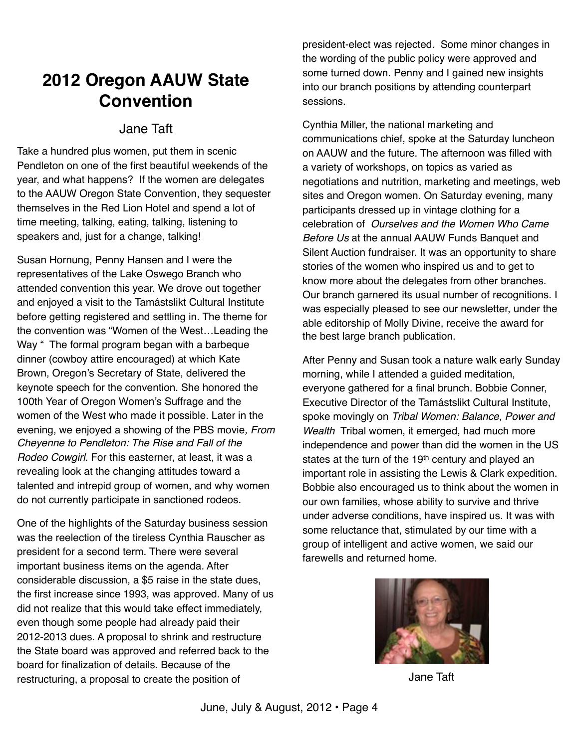# **2012 Oregon AAUW State Convention**

#### Jane Taft

Take a hundred plus women, put them in scenic Pendleton on one of the first beautiful weekends of the year, and what happens? If the women are delegates to the AAUW Oregon State Convention, they sequester themselves in the Red Lion Hotel and spend a lot of time meeting, talking, eating, talking, listening to speakers and, just for a change, talking!

Susan Hornung, Penny Hansen and I were the representatives of the Lake Oswego Branch who attended convention this year. We drove out together and enjoyed a visit to the Tamástslikt Cultural Institute before getting registered and settling in. The theme for the convention was "Women of the West…Leading the Way " The formal program began with a barbeque dinner (cowboy attire encouraged) at which Kate Brown, Oregon's Secretary of State, delivered the keynote speech for the convention. She honored the 100th Year of Oregon Women's Suffrage and the women of the West who made it possible. Later in the evening, we enjoyed a showing of the PBS movie*, From Cheyenne to Pendleton: The Rise and Fall of the Rodeo Cowgirl.* For this easterner, at least, it was a revealing look at the changing attitudes toward a talented and intrepid group of women, and why women do not currently participate in sanctioned rodeos.

One of the highlights of the Saturday business session was the reelection of the tireless Cynthia Rauscher as president for a second term. There were several important business items on the agenda. After considerable discussion, a \$5 raise in the state dues, the first increase since 1993, was approved. Many of us did not realize that this would take effect immediately, even though some people had already paid their 2012-2013 dues. A proposal to shrink and restructure the State board was approved and referred back to the board for finalization of details. Because of the restructuring, a proposal to create the position of

president-elect was rejected. Some minor changes in the wording of the public policy were approved and some turned down. Penny and I gained new insights into our branch positions by attending counterpart sessions.

Cynthia Miller, the national marketing and communications chief, spoke at the Saturday luncheon on AAUW and the future. The afternoon was filled with a variety of workshops, on topics as varied as negotiations and nutrition, marketing and meetings, web sites and Oregon women. On Saturday evening, many participants dressed up in vintage clothing for a celebration of *Ourselves and the Women Who Came Before Us* at the annual AAUW Funds Banquet and Silent Auction fundraiser. It was an opportunity to share stories of the women who inspired us and to get to know more about the delegates from other branches. Our branch garnered its usual number of recognitions. I was especially pleased to see our newsletter, under the able editorship of Molly Divine, receive the award for the best large branch publication.

After Penny and Susan took a nature walk early Sunday morning, while I attended a guided meditation, everyone gathered for a final brunch. Bobbie Conner, Executive Director of the Tamástslikt Cultural Institute, spoke movingly on *Tribal Women: Balance, Power and Wealth* Tribal women, it emerged, had much more independence and power than did the women in the US states at the turn of the 19<sup>th</sup> century and played an important role in assisting the Lewis & Clark expedition. Bobbie also encouraged us to think about the women in our own families, whose ability to survive and thrive under adverse conditions, have inspired us. It was with some reluctance that, stimulated by our time with a group of intelligent and active women, we said our farewells and returned home.



Jane Taft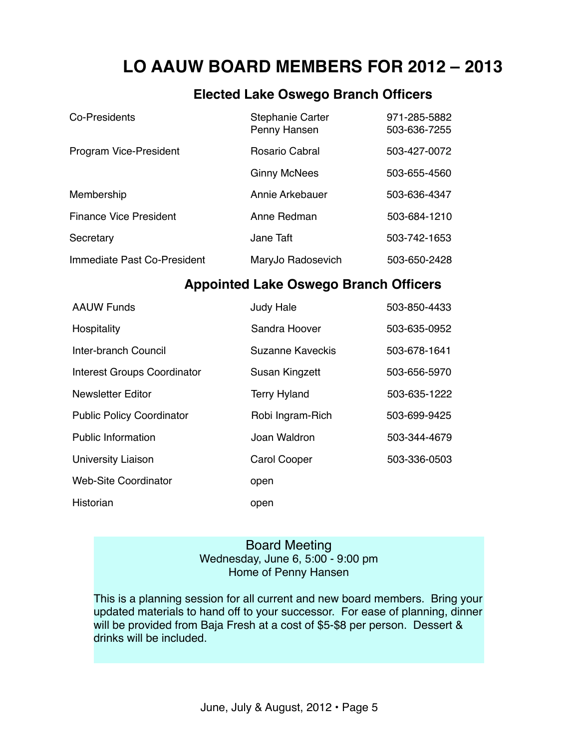# **LO AAUW BOARD MEMBERS FOR 2012 – 2013**

#### **Elected Lake Oswego Branch Officers**

| Co-Presidents                 | <b>Stephanie Carter</b><br>Penny Hansen | 971-285-5882<br>503-636-7255 |
|-------------------------------|-----------------------------------------|------------------------------|
| Program Vice-President        | <b>Rosario Cabral</b>                   | 503-427-0072                 |
|                               | <b>Ginny McNees</b>                     | 503-655-4560                 |
| Membership                    | Annie Arkebauer                         | 503-636-4347                 |
| <b>Finance Vice President</b> | Anne Redman                             | 503-684-1210                 |
| Secretary                     | Jane Taft                               | 503-742-1653                 |
| Immediate Past Co-President   | MaryJo Radosevich                       | 503-650-2428                 |

#### **Appointed Lake Oswego Branch Officers**

| <b>AAUW Funds</b>                  | <b>Judy Hale</b>    | 503-850-4433 |
|------------------------------------|---------------------|--------------|
| Hospitality                        | Sandra Hoover       | 503-635-0952 |
| Inter-branch Council               | Suzanne Kaveckis    | 503-678-1641 |
| <b>Interest Groups Coordinator</b> | Susan Kingzett      | 503-656-5970 |
| <b>Newsletter Editor</b>           | <b>Terry Hyland</b> | 503-635-1222 |
| <b>Public Policy Coordinator</b>   | Robi Ingram-Rich    | 503-699-9425 |
| <b>Public Information</b>          | Joan Waldron        | 503-344-4679 |
| <b>University Liaison</b>          | <b>Carol Cooper</b> | 503-336-0503 |
| <b>Web-Site Coordinator</b>        | open                |              |
| Historian                          | open                |              |

#### Board Meeting Wednesday, June 6, 5:00 - 9:00 pm Home of Penny Hansen

This is a planning session for all current and new board members. Bring your updated materials to hand off to your successor. For ease of planning, dinner will be provided from Baja Fresh at a cost of \$5-\$8 per person. Dessert & drinks will be included.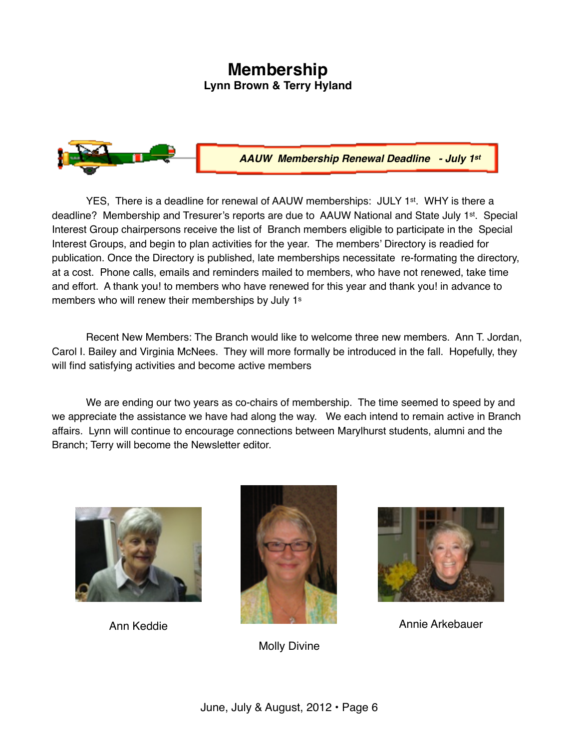#### **Membership Lynn Brown & Terry Hyland**



*AAUW Membership Renewal Deadline - July 1st*

YES. There is a deadline for renewal of AAUW memberships: JULY 1<sup>st</sup>. WHY is there a deadline? Membership and Tresurer's reports are due to AAUW National and State July 1<sup>st</sup>. Special Interest Group chairpersons receive the list of Branch members eligible to participate in the Special Interest Groups, and begin to plan activities for the year. The members' Directory is readied for publication. Once the Directory is published, late memberships necessitate re-formating the directory, at a cost. Phone calls, emails and reminders mailed to members, who have not renewed, take time and effort. A thank you! to members who have renewed for this year and thank you! in advance to members who will renew their memberships by July 1<sup>s</sup>

Recent New Members: The Branch would like to welcome three new members. Ann T. Jordan, Carol I. Bailey and Virginia McNees. They will more formally be introduced in the fall. Hopefully, they will find satisfying activities and become active members

We are ending our two years as co-chairs of membership. The time seemed to speed by and we appreciate the assistance we have had along the way. We each intend to remain active in Branch affairs. Lynn will continue to encourage connections between Marylhurst students, alumni and the Branch; Terry will become the Newsletter editor.





Molly Divine

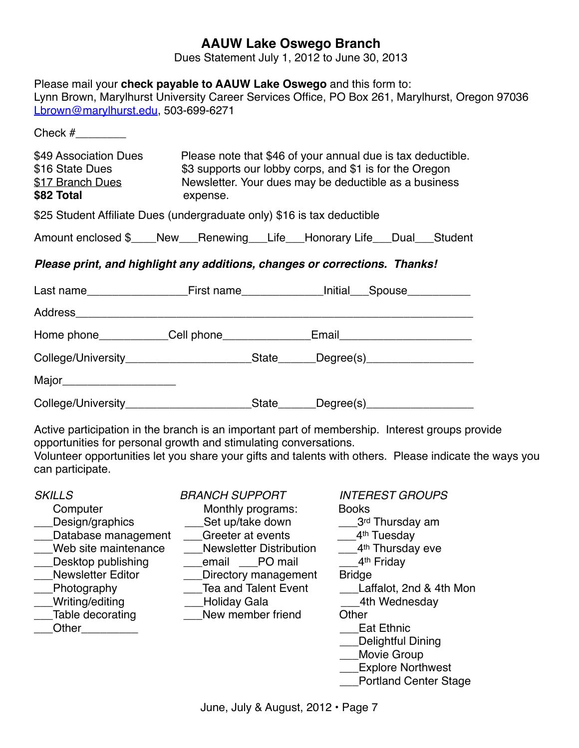#### **AAUW Lake Oswego Branch**

Dues Statement July 1, 2012 to June 30, 2013

| Lbrown@marylhurst.edu, 503-699-6271                                                                                                                          | Please mail your check payable to AAUW Lake Oswego and this form to:                                                                                                                             | Lynn Brown, Marylhurst University Career Services Office, PO Box 261, Marylhurst, Oregon 97036                                                                                                           |
|--------------------------------------------------------------------------------------------------------------------------------------------------------------|--------------------------------------------------------------------------------------------------------------------------------------------------------------------------------------------------|----------------------------------------------------------------------------------------------------------------------------------------------------------------------------------------------------------|
|                                                                                                                                                              |                                                                                                                                                                                                  |                                                                                                                                                                                                          |
| \$49 Association Dues<br>\$16 State Dues<br>\$17 Branch Dues<br>\$82 Total                                                                                   | Please note that \$46 of your annual due is tax deductible.<br>\$3 supports our lobby corps, and \$1 is for the Oregon<br>Newsletter. Your dues may be deductible as a business<br>expense.      |                                                                                                                                                                                                          |
|                                                                                                                                                              | \$25 Student Affiliate Dues (undergraduate only) \$16 is tax deductible                                                                                                                          |                                                                                                                                                                                                          |
|                                                                                                                                                              | Amount enclosed \$____New___Renewing___Life___Honorary Life___Dual___Student                                                                                                                     |                                                                                                                                                                                                          |
|                                                                                                                                                              | Please print, and highlight any additions, changes or corrections. Thanks!                                                                                                                       |                                                                                                                                                                                                          |
|                                                                                                                                                              |                                                                                                                                                                                                  |                                                                                                                                                                                                          |
|                                                                                                                                                              |                                                                                                                                                                                                  |                                                                                                                                                                                                          |
|                                                                                                                                                              | Home phone____________Cell phone________________Email___________________________                                                                                                                 |                                                                                                                                                                                                          |
|                                                                                                                                                              | College/University___________________________State_______Degree(s)______________                                                                                                                 |                                                                                                                                                                                                          |
| Major_________________________                                                                                                                               |                                                                                                                                                                                                  |                                                                                                                                                                                                          |
|                                                                                                                                                              | College/University____________________________State_______Degree(s)_____________                                                                                                                 |                                                                                                                                                                                                          |
| can participate.                                                                                                                                             | opportunities for personal growth and stimulating conversations.                                                                                                                                 | Active participation in the branch is an important part of membership. Interest groups provide<br>Volunteer opportunities let you share your gifts and talents with others. Please indicate the ways you |
| <b>SKILLS</b><br>Computer<br>Design/graphics<br>Database management<br>Web site maintenance<br>Desktop publishing<br><b>Newsletter Editor</b><br>Photography | <i>BRANCH SUPPORT</i><br>Monthly programs:<br>Set up/take down<br>Greeter at events<br><b>Newsletter Distribution</b><br>PO mail<br>email<br>Directory management<br><b>Tea and Talent Event</b> | <b>INTEREST GROUPS</b><br><b>Books</b><br>3 <sup>rd</sup> Thursday am<br>4 <sup>th</sup> Tuesday<br>4 <sup>th</sup> Thursday eve<br>4 <sup>th</sup> Friday<br><b>Bridge</b><br>Laffalot, 2nd & 4th Mon   |

- 
- 
- \_\_Other\_\_\_\_\_\_\_\_\_\_

\_\_\_Writing/editing \_\_\_Holiday Gala \_\_\_4th Wednesday Lable wember friend Other<br>Lat Ethnic

- 
- 
- 
- 
- \_\_\_Delightful Dining
- \_\_\_Movie Group
- \_\_\_Explore Northwest
- **\_\_\_Portland Center Stage**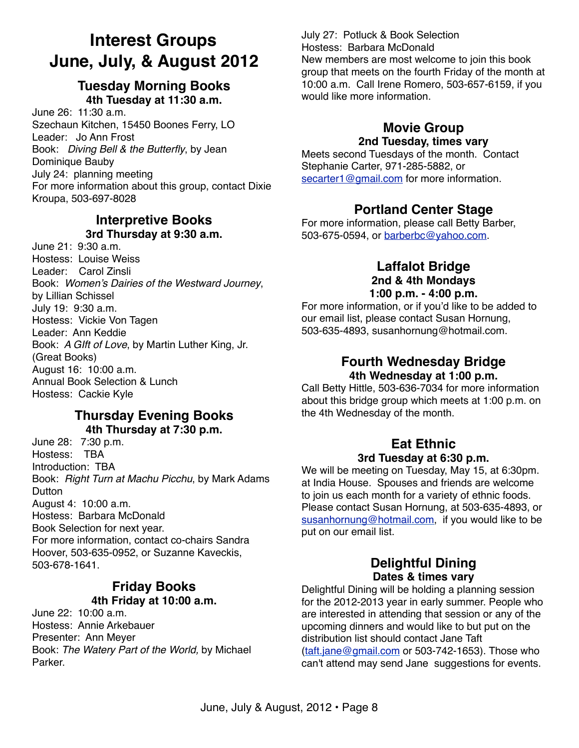# **Interest Groups June, July, & August 2012**

#### **Tuesday Morning Books 4th Tuesday at 11:30 a.m.**

June 26: 11:30 a.m. Szechaun Kitchen, 15450 Boones Ferry, LO Leader: Jo Ann Frost Book: *Diving Bell & the Butterfly*, by Jean Dominique Bauby July 24: planning meeting For more information about this group, contact Dixie Kroupa, 503-697-8028

### **Interpretive Books**

**3rd Thursday at 9:30 a.m.**

June  $21:9:30$  a.m. Hostess: Louise Weiss Leader: Carol Zinsli Book: *Women's Dairies of the Westward Journey*, by Lillian Schissel July 19: 9:30 a.m. Hostess: Vickie Von Tagen Leader: Ann Keddie Book: *A GIft of Love*, by Martin Luther King, Jr. (Great Books) August 16: 10:00 a.m. Annual Book Selection & Lunch Hostess: Cackie Kyle

#### **Thursday Evening Books 4th Thursday at 7:30 p.m.**

June 28: 7:30 p.m. Hostess: TBA Introduction: TBA Book: *Right Turn at Machu Picchu*, by Mark Adams Dutton August 4: 10:00 a.m. Hostess: Barbara McDonald Book Selection for next year. For more information, contact co-chairs Sandra Hoover, 503-635-0952, or Suzanne Kaveckis, 503-678-1641.

#### **Friday Books 4th Friday at 10:00 a.m.**

June 22: 10:00 a.m. Hostess: Annie Arkebauer Presenter: Ann Meyer Book: *The Watery Part of the World,* by Michael Parker.

July 27: Potluck & Book Selection Hostess: Barbara McDonald New members are most welcome to join this book group that meets on the fourth Friday of the month at 10:00 a.m. Call Irene Romero, 503-657-6159, if you would like more information.

#### **Movie Group 2nd Tuesday, times vary**

Meets second Tuesdays of the month. Contact Stephanie Carter, 971-285-5882, or [secarter1@gmail.com](mailto:secarter1@gmail.com) for more information.

#### **Portland Center Stage**

For more information, please call Betty Barber, 503-675-0594, or [barberbc@yahoo.com.](mailto:barberbc@yahoo.com)

#### **Laffalot Bridge 2nd & 4th Mondays 1:00 p.m. - 4:00 p.m.**

For more information, or if you'd like to be added to our email list, please contact Susan Hornung, 503-635-4893, susanhornung@hotmail.com.

#### **Fourth Wednesday Bridge 4th Wednesday at 1:00 p.m.**

Call Betty Hittle, 503-636-7034 for more information about this bridge group which meets at 1:00 p.m. on the 4th Wednesday of the month.

#### **Eat Ethnic 3rd Tuesday at 6:30 p.m.**

We will be meeting on Tuesday, May 15, at 6:30pm. at India House. Spouses and friends are welcome to join us each month for a variety of ethnic foods. Please contact Susan Hornung, at 503-635-4893, or [susanhornung@hotmail.com,](mailto:susanhornung@hotmail.com) if you would like to be put on our email list.

#### **Delightful Dining Dates & times vary**

Delightful Dining will be holding a planning session for the 2012-2013 year in early summer. People who are interested in attending that session or any of the upcoming dinners and would like to but put on the distribution list should contact Jane Taft [\(taft.jane@gmail.com](mailto:taft.jane@gmail.com) or 503-742-1653). Those who can't attend may send Jane suggestions for events.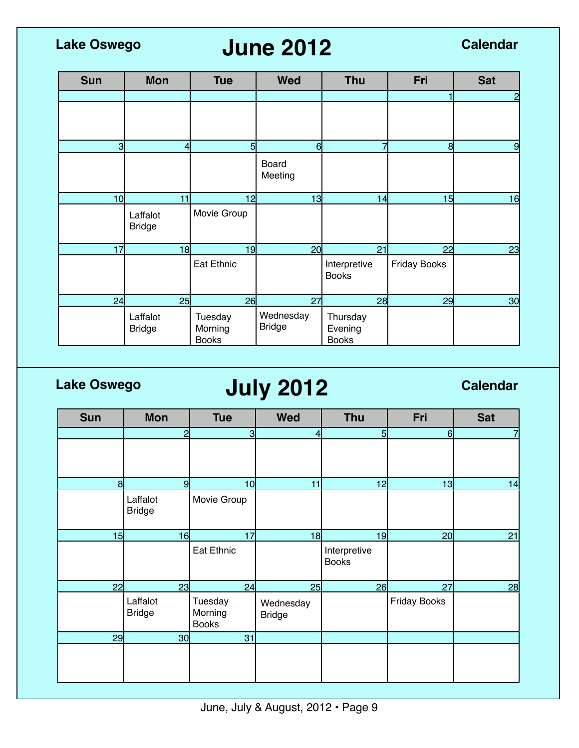# **June 2012 Lake Oswego Calendar**

| <b>Sun</b>      | <b>Mon</b>                | <b>Tue</b>                         | <b>Wed</b>                 | <b>Thu</b>                          | Fri                 | <b>Sat</b>      |
|-----------------|---------------------------|------------------------------------|----------------------------|-------------------------------------|---------------------|-----------------|
|                 |                           |                                    |                            |                                     |                     | $\overline{c}$  |
|                 |                           |                                    |                            |                                     |                     |                 |
| $\overline{3}$  | 41                        | $5 \mid$                           | 6                          | $\overline{7}$                      | 8                   | 9               |
|                 |                           |                                    | Board<br>Meeting           |                                     |                     |                 |
| 10 <sup>1</sup> | 11                        | 12                                 | 13                         | 14                                  | 15                  | 16              |
|                 | Laffalot<br><b>Bridge</b> | Movie Group                        |                            |                                     |                     |                 |
| 17              | 18                        | 19                                 | 20 <sub>l</sub>            | 21                                  | 22                  | 23              |
|                 |                           | Eat Ethnic                         |                            | Interpretive<br><b>Books</b>        | <b>Friday Books</b> |                 |
| 24              | 25                        | 26                                 | 27                         | 28                                  | 29                  | 30 <sub>l</sub> |
|                 | Laffalot<br><b>Bridge</b> | Tuesday<br>Morning<br><b>Books</b> | Wednesday<br><b>Bridge</b> | Thursday<br>Evening<br><b>Books</b> |                     |                 |

# **Lake Oswego July 2012 Calendar**

| <b>Sun</b> | <b>Mon</b>                | <b>Tue</b>                         | <b>Wed</b>                 | <b>Thu</b>                   | Fri                 | <b>Sat</b> |
|------------|---------------------------|------------------------------------|----------------------------|------------------------------|---------------------|------------|
|            | $\overline{2}$            | $\overline{\mathbf{3}}$            | $\overline{4}$             | 5                            | 6                   |            |
|            |                           |                                    |                            |                              |                     |            |
| 8          | 9                         | 10 <sup>1</sup>                    | 11                         | 12                           | 13                  | 14         |
|            | Laffalot<br><b>Bridge</b> | Movie Group                        |                            |                              |                     |            |
| 15         | 16                        | 17                                 | 18                         | 19                           | 20 <sub>l</sub>     | 21         |
|            |                           | <b>Eat Ethnic</b>                  |                            | Interpretive<br><b>Books</b> |                     |            |
| 22         | 23                        | 24                                 | 25                         | 26                           | 27                  | 28         |
|            | Laffalot<br><b>Bridge</b> | Tuesday<br>Morning<br><b>Books</b> | Wednesday<br><b>Bridge</b> |                              | <b>Friday Books</b> |            |
| 29         | 30 <sup>l</sup>           | 31                                 |                            |                              |                     |            |
|            |                           |                                    |                            |                              |                     |            |